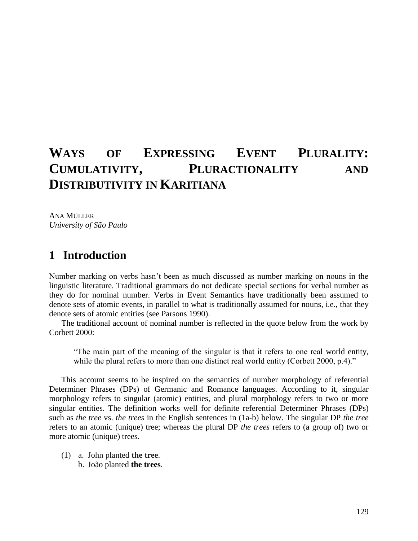# **WAYS OF EXPRESSING EVENT PLURALITY: CUMULATIVITY, PLURACTIONALITY AND DISTRIBUTIVITY IN KARITIANA**

ANA MÜLLER *University of São Paulo*

#### **1** Introduction

Number marking on verbs hasn't been as much discussed as number marking on nouns in the linguistic literature. Traditional grammars do not dedicate special sections for verbal number as they do for nominal number. Verbs in Event Semantics have traditionally been assumed to denote sets of atomic events, in parallel to what is traditionally assumed for nouns, i.e., that they denote sets of atomic entities (see Parsons 1990).

The traditional account of nominal number is reflected in the quote below from the work by Corbett 2000:

"The main part of the meaning of the singular is that it refers to one real world entity, while the plural refers to more than one distinct real world entity (Corbett 2000, p.4)."

This account seems to be inspired on the semantics of number morphology of referential Determiner Phrases (DPs) of Germanic and Romance languages. According to it, singular morphology refers to singular (atomic) entities, and plural morphology refers to two or more singular entities. The definition works well for definite referential Determiner Phrases (DPs) such as *the tree* vs. *the trees* in the English sentences in (1a-b) below. The singular DP *the tree* refers to an atomic (unique) tree; whereas the plural DP *the trees* refers to (a group of) two or more atomic (unique) trees.

(1) a. John planted **the tree**. b. João planted **the trees**.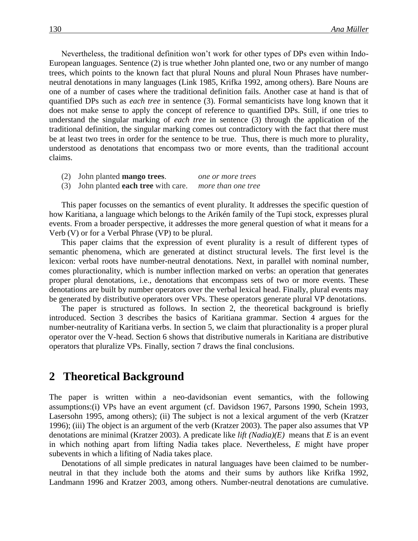Nevertheless, the traditional definition won't work for other types of DPs even within Indo-European languages. Sentence (2) is true whether John planted one, two or any number of mango trees, which points to the known fact that plural Nouns and plural Noun Phrases have numberneutral denotations in many languages (Link 1985, Krifka 1992, among others). Bare Nouns are one of a number of cases where the traditional definition fails. Another case at hand is that of quantified DPs such as *each tree* in sentence (3). Formal semanticists have long known that it does not make sense to apply the concept of reference to quantified DPs. Still, if one tries to understand the singular marking of *each tree* in sentence (3) through the application of the traditional definition, the singular marking comes out contradictory with the fact that there must be at least two trees in order for the sentence to be true. Thus, there is much more to plurality, understood as denotations that encompass two or more events, than the traditional account claims.

- (2) John planted **mango trees**. *one or more trees*
- (3) John planted **each tree** with care. *more than one tree*

This paper focusses on the semantics of event plurality. It addresses the specific question of how Karitiana, a language which belongs to the Arikén family of the Tupi stock, expresses plural events. From a broader perspective, it addresses the more general question of what it means for a Verb (V) or for a Verbal Phrase (VP) to be plural.

This paper claims that the expression of event plurality is a result of different types of semantic phenomena, which are generated at distinct structural levels. The first level is the lexicon: verbal roots have number-neutral denotations. Next, in parallel with nominal number, comes pluractionality, which is number inflection marked on verbs: an operation that generates proper plural denotations, i.e., denotations that encompass sets of two or more events. These denotations are built by number operators over the verbal lexical head. Finally, plural events may be generated by distributive operators over VPs. These operators generate plural VP denotations.

The paper is structured as follows. In section 2, the theoretical background is briefly introduced. Section 3 describes the basics of Karitiana grammar. Section 4 argues for the number-neutrality of Karitiana verbs. In section 5, we claim that pluractionality is a proper plural operator over the V-head. Section 6 shows that distributive numerals in Karitiana are distributive operators that pluralize VPs. Finally, section 7 draws the final conclusions.

#### **2**xx**Theoretical Background**

The paper is written within a neo-davidsonian event semantics, with the following assumptions:(i) VPs have an event argument (cf. Davidson 1967, Parsons 1990, Schein 1993, Lasersohn 1995, among others); (ii) The subject is not a lexical argument of the verb (Kratzer 1996); (iii) The object is an argument of the verb (Kratzer 2003). The paper also assumes that VP denotations are minimal (Kratzer 2003). A predicate like *lift (Nadia)(E)* means that *E* is an event in which nothing apart from lifting Nadia takes place. Nevertheless, *E* might have proper subevents in which a lifiting of Nadia takes place.

Denotations of all simple predicates in natural languages have been claimed to be numberneutral in that they include both the atoms and their sums by authors like Krifka 1992, Landmann 1996 and Kratzer 2003, among others. Number-neutral denotations are cumulative.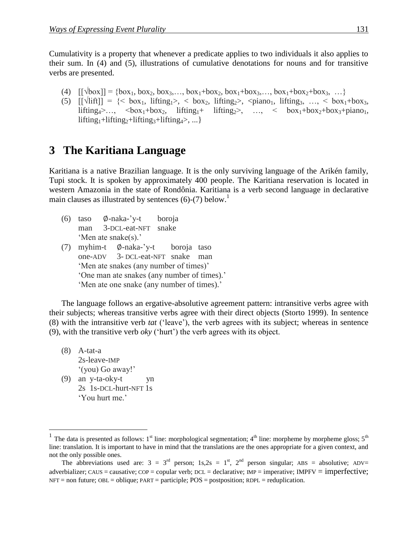Cumulativity is a property that whenever a predicate applies to two individuals it also applies to their sum. In (4) and (5), illustrations of cumulative denotations for nouns and for transitive verbs are presented.

- (4)  $[[\sqrt{box}] = {box_1, box_2, box_3, ..., box_1+box_2, box_1+box_3, ..., box_1+box_2+box_2+box_3, ...}$
- (5)  $[\lceil \sqrt{\text{lift}} \rceil] = \{ \text{box}_1, \text{ lifting}_1 \text{box}_2, \text{box}_2, \text{lifting}_2 \text{box}_3, \text{diag}_1, \text{String}_3, \text{box}_3, \text{times}_4 \}$ lifting<sub>4</sub>>…, <br/> <br/> $\langle$ box<sub>1</sub>+box<sub>2</sub>+box<sub>2</sub>+piano<sub>1</sub>, lifting<sub>2</sub>>, …, < box<sub>1</sub>+box<sub>2</sub>+box<sub>3</sub>+piano<sub>1</sub>, lifting<sub>1</sub>+lifting<sub>2</sub>+lifting<sub>3</sub>+lifting<sub>4</sub>>, ...}

# **3** The Karitiana Language

Karitiana is a native Brazilian language. It is the only surviving language of the Arikén family, Tupi stock. It is spoken by approximately 400 people. The Karitiana reservation is located in western Amazonia in the state of Rondônia. Karitiana is a verb second language in declarative main clauses as illustrated by sentences  $(6)-(7)$  below.<sup>1</sup>

- (6) taso  $\emptyset$ -naka-'y-t boroja man 3-DCL-eat-NFT snake 'Men ate snake(s).'
- (7) myhim-t  $\emptyset$ -naka-'y-t boroja taso one-ADV 3- DCL-eat-NFT snake man 'Men ate snakes (any number of times)' 'One man ate snakes (any number of times).' 'Men ate one snake (any number of times).'

The language follows an ergative-absolutive agreement pattern: intransitive verbs agree with their subjects; whereas transitive verbs agree with their direct objects (Storto 1999). In sentence (8) with the intransitive verb *tat* ('leave'), the verb agrees with its subject; whereas in sentence (9), with the transitive verb *oky* ('hurt') the verb agrees with its object.

(8) A-tat-a 2s-leave-IMP '(you) Go away!' (9) an y-ta-oky-t yn 2s 1s-DCL-hurt-NFT 1s 'You hurt me.'

 $\overline{a}$ 

<sup>&</sup>lt;sup>1</sup> The data is presented as follows: 1<sup>st</sup> line: morphological segmentation; 4<sup>th</sup> line: morpheme by morpheme gloss; 5<sup>th</sup> line: translation. It is important to have in mind that the translations are the ones appropriate for a given context, and not the only possible ones.

The abbreviations used are:  $3 = 3^{\text{rd}}$  person;  $1s,2s = 1^{\text{st}}$ ,  $2^{\text{nd}}$  person singular; ABS = absolutive; ADV= adverbializer; CAUS = causative; COP = copular verb; DCL = declarative; IMP = imperative; IMPFV = imperfective;  $NFT = non future; OBL = oblique; PART = particle; POS = postposition; RDPL = reduplication.$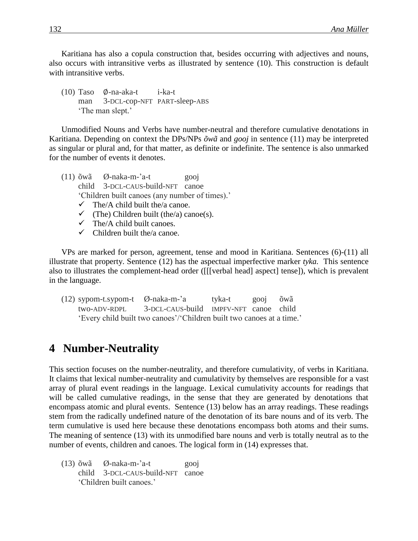Karitiana has also a copula construction that, besides occurring with adjectives and nouns, also occurs with intransitive verbs as illustrated by sentence (10). This construction is default with intransitive verbs.

 $(10)$  Taso  $\emptyset$ -na-aka-t i-ka-t man 3-DCL-cop-NFT PART-sleep-ABS 'The man slept.'

Unmodified Nouns and Verbs have number-neutral and therefore cumulative denotations in Karitiana. Depending on context the DPs/NPs *õwã* and *gooj* in sentence (11) may be interpreted as singular or plural and, for that matter, as definite or indefinite. The sentence is also unmarked for the number of events it denotes.

(11) õwã Ø-naka-m-'a-t gooj child 3-DCL-CAUS-build-NFT canoe 'Children built canoes (any number of times).'  $\checkmark$  The/A child built the/a canoe.  $\checkmark$  (The) Children built (the/a) canoe(s). The/A child built canoes.  $\checkmark$  Children built the/a canoe.

VPs are marked for person, agreement, tense and mood in Karitiana. Sentences (6)-(11) all illustrate that property. Sentence (12) has the aspectual imperfective marker *tyka.* This sentence also to illustrates the complement-head order ([[[verbal head] aspect] tense]), which is prevalent in the language.

(12) sypom-t.sypom-t Ø-naka-m-'a tyka-t gooj õwã two-ADV-RDPL 3-DCL-CAUS-build IMPFV-NFT canoe child 'Every child built two canoes'/'Children built two canoes at a time.'

# **4** Number-Neutrality

This section focuses on the number-neutrality, and therefore cumulativity, of verbs in Karitiana. It claims that lexical number-neutrality and cumulativity by themselves are responsible for a vast array of plural event readings in the language. Lexical cumulativity accounts for readings that will be called cumulative readings, in the sense that they are generated by denotations that encompass atomic and plural events. Sentence (13) below has an array readings. These readings stem from the radically undefined nature of the denotation of its bare nouns and of its verb. The term cumulative is used here because these denotations encompass both atoms and their sums. The meaning of sentence (13) with its unmodified bare nouns and verb is totally neutral as to the number of events, children and canoes. The logical form in (14) expresses that.

 $(13)$  õwã Ø-naka-m-'a-t gooj child 3-DCL-CAUS-build-NFT canoe 'Children built canoes.'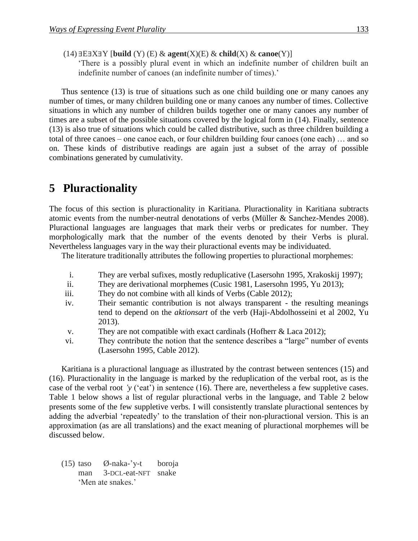$(14) \exists E \exists X \exists Y$  [build  $(Y)$   $(E) \& agent(X)(E) \& child(X) \& canoe(Y)]$ 

'There is a possibly plural event in which an indefinite number of children built an indefinite number of canoes (an indefinite number of times).'

Thus sentence (13) is true of situations such as one child building one or many canoes any number of times, or many children building one or many canoes any number of times. Collective situations in which any number of children builds together one or many canoes any number of times are a subset of the possible situations covered by the logical form in (14). Finally, sentence (13) is also true of situations which could be called distributive, such as three children building a total of three canoes – one canoe each, or four children building four canoes (one each) … and so on. These kinds of distributive readings are again just a subset of the array of possible combinations generated by cumulativity.

# **5** Pluractionality

The focus of this section is pluractionality in Karitiana. Pluractionality in Karitiana subtracts atomic events from the number-neutral denotations of verbs (Müller & Sanchez-Mendes 2008). Pluractional languages are languages that mark their verbs or predicates for number. They morphologically mark that the number of the events denoted by their Verbs is plural. Nevertheless languages vary in the way their pluractional events may be individuated.

The literature traditionally attributes the following properties to pluractional morphemes:

- i. They are verbal sufixes, mostly reduplicative (Lasersohn 1995, Xrakoskij 1997);
- ii. They are derivational morphemes (Cusic 1981, Lasersohn 1995, Yu 2013);
- iii. They do not combine with all kinds of Verbs (Cable 2012);
- iv. Their semantic contribution is not always transparent the resulting meanings tend to depend on the *aktionsart* of the verb (Haji-Abdolhosseini et al 2002, Yu 2013).
- v. They are not compatible with exact cardinals (Hofherr & Laca 2012);
- vi. They contribute the notion that the sentence describes a "large" number of events (Lasersohn 1995, Cable 2012).

Karitiana is a pluractional language as illustrated by the contrast between sentences (15) and (16). Pluractionality in the language is marked by the reduplication of the verbal root, as is the case of the verbal root *'y* ('eat') in sentence (16). There are, nevertheless a few suppletive cases. Table 1 below shows a list of regular pluractional verbs in the language, and Table 2 below presents some of the few suppletive verbs. I will consistently translate pluractional sentences by adding the adverbial 'repeatedly' to the translation of their non-pluractional version. This is an approximation (as are all translations) and the exact meaning of pluractional morphemes will be discussed below.

(15) taso Ø-naka-'y-t boroja man 3-DCL-eat-NFT snake 'Men ate snakes.'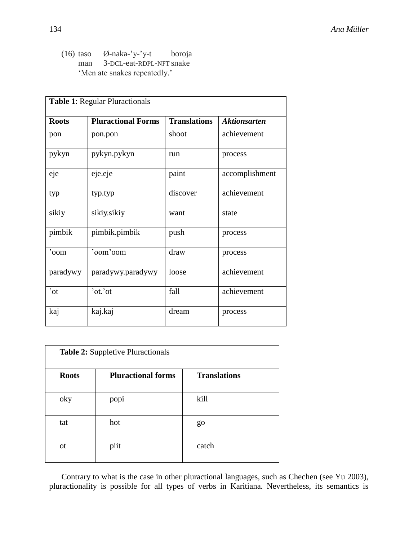(16) taso Ø-naka-'y-'y-t boroja man 3-DCL-eat-RDPL-NFT snake 'Men ate snakes repeatedly.'

| <b>Table 1: Regular Pluractionals</b> |                           |                     |                     |  |  |  |
|---------------------------------------|---------------------------|---------------------|---------------------|--|--|--|
| <b>Roots</b>                          | <b>Pluractional Forms</b> | <b>Translations</b> | <b>Aktionsarten</b> |  |  |  |
| pon                                   | pon.pon                   | shoot               | achievement         |  |  |  |
| pykyn                                 | pykyn.pykyn               | run                 | process             |  |  |  |
| eje                                   | eje.eje                   | paint               | accomplishment      |  |  |  |
| typ                                   | typ.typ                   | discover            | achievement         |  |  |  |
| sikiy                                 | sikiy.sikiy               | want                | state               |  |  |  |
| pimbik                                | pimbik.pimbik             | push                | process             |  |  |  |
| 'oom                                  | 'oom'oom                  | draw                | process             |  |  |  |
| paradywy                              | paradywy.paradywy         | loose               | achievement         |  |  |  |
| $\overline{\ }$ ot                    | 'ot.'ot                   | fall                | achievement         |  |  |  |
| kaj                                   | kaj.kaj                   | dream               | process             |  |  |  |

| <b>Table 2:</b> Suppletive Pluractionals |                           |                     |  |  |  |
|------------------------------------------|---------------------------|---------------------|--|--|--|
| <b>Roots</b>                             | <b>Pluractional forms</b> | <b>Translations</b> |  |  |  |
| oky                                      | popi                      | kill                |  |  |  |
| tat                                      | hot                       | go                  |  |  |  |
| <sub>ot</sub>                            | piit                      | catch               |  |  |  |

Contrary to what is the case in other pluractional languages, such as Chechen (see Yu 2003), pluractionality is possible for all types of verbs in Karitiana. Nevertheless, its semantics is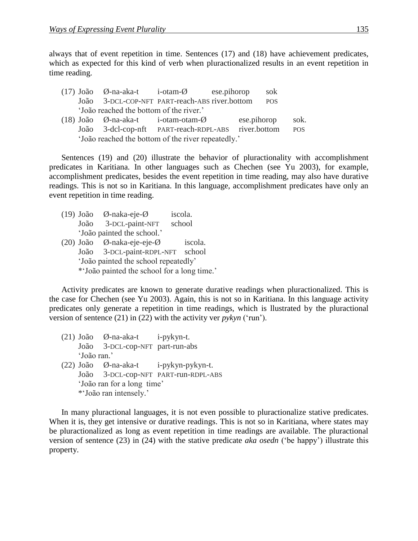always that of event repetition in time. Sentences (17) and (18) have achievement predicates, which as expected for this kind of verb when pluractionalized results in an event repetition in time reading.

|                                                    |  |                                         | $(17)$ João $\emptyset$ -na-aka-t i-otam- $\emptyset$ ese.pihorop |  |             | sok        |            |
|----------------------------------------------------|--|-----------------------------------------|-------------------------------------------------------------------|--|-------------|------------|------------|
|                                                    |  |                                         | João 3-DCL-COP-NFT PART-reach-ABS river.bottom                    |  |             | <b>POS</b> |            |
|                                                    |  | 'João reached the bottom of the river.' |                                                                   |  |             |            |            |
|                                                    |  |                                         | $(18)$ João $\emptyset$ -na-aka-t i-otam-otam- $\emptyset$        |  | ese.pihorop |            | sok.       |
|                                                    |  |                                         | João 3-dcl-cop-nft PART-reach-RDPL-ABS river.bottom               |  |             |            | <b>POS</b> |
| 'João reached the bottom of the river repeatedly.' |  |                                         |                                                                   |  |             |            |            |

Sentences (19) and (20) illustrate the behavior of pluractionality with accomplishment predicates in Karitiana. In other languages such as Chechen (see Yu 2003), for example, accomplishment predicates, besides the event repetition in time reading, may also have durative readings. This is not so in Karitiana. In this language, accomplishment predicates have only an event repetition in time reading.

|  | $(19)$ João $\emptyset$ -naka-eje- $\emptyset$ | iscola. |  |
|--|------------------------------------------------|---------|--|
|  | João 3-DCL-paint-NFT                           | school  |  |
|  | 'João painted the school.'                     |         |  |
|  | (20) João Ø-naka-eje-eje-Ø                     | iscola. |  |
|  | João 3-DCL-paint-RDPL-NFT                      | school  |  |
|  | 'João painted the school repeatedly'           |         |  |
|  | *'João painted the school for a long time.'    |         |  |

Activity predicates are known to generate durative readings when pluractionalized. This is the case for Chechen (see Yu 2003). Again, this is not so in Karitiana. In this language activity predicates only generate a repetition in time readings, which is llustrated by the pluractional version of sentence (21) in (22) with the activity ver *pykyn* ('run').

- (21) João Ø-na-aka-t i-pykyn-t. João 3-DCL-cop-NFT part-run-abs 'João ran.'
- (22) João Ø-na-aka-t i-pykyn-pykyn-t. João 3-DCL-cop-NFT PART-run-RDPL-ABS 'João ran for a long time' \*'João ran intensely.'

In many pluractional languages, it is not even possible to pluractionalize stative predicates. When it is, they get intensive or durative readings. This is not so in Karitiana, where states may be pluractionalized as long as event repetition in time readings are available. The pluractional version of sentence (23) in (24) with the stative predicate *aka osedn* ('be happy') illustrate this property.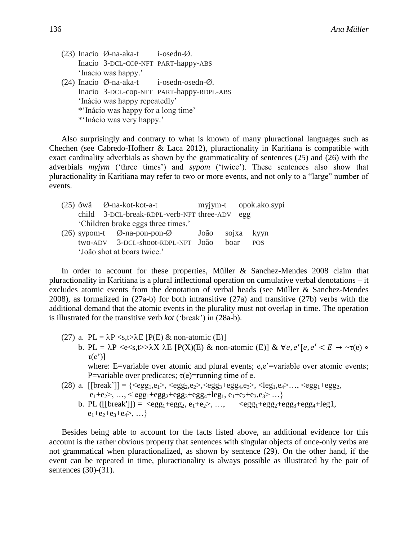- (23) Inacio  $\emptyset$ -na-aka-t i-osedn- $\emptyset$ . Inacio 3-DCL-COP-NFT PART-happy-ABS 'Inacio was happy.'
- (24) Inacio Ø-na-aka-t i-osedn-osedn-Ø. Inacio 3-DCL-cop-NFT PART-happy-RDPL-ABS 'Inácio was happy repeatedly' \*'Inácio was happy for a long time' \*'Inácio was very happy.'

Also surprisingly and contrary to what is known of many pluractional languages such as Chechen (see Cabredo-Hofherr & Laca 2012), pluractionality in Karitiana is compatible with exact cardinality adverbials as shown by the grammaticality of sentences (25) and (26) with the adverbials *myjym* ('three times') and *sypom* ('twice'). These sentences also show that pluractionality in Karitiana may refer to two or more events, and not only to a "large" number of events.

|  | $(25)$ $\tilde{\text{o}}$ wã $\varnothing$ -na-kot-kot-a-t |  |      | myjym-t opok.ako.sypi |            |
|--|------------------------------------------------------------|--|------|-----------------------|------------|
|  | child 3-DCL-break-RDPL-verb-NFT three-ADV egg              |  |      |                       |            |
|  | 'Children broke eggs three times.'                         |  |      |                       |            |
|  | $(26)$ sypom-t $\emptyset$ -na-pon-pon- $\emptyset$ João   |  |      |                       | sojxa kyyn |
|  | two-ADV 3-DCL-shoot-RDPL-NFT João                          |  | boar |                       | <b>POS</b> |
|  | 'João shot at boars twice.'                                |  |      |                       |            |

In order to account for these properties, Müller & Sanchez-Mendes 2008 claim that pluractionality in Karitiana is a plural inflectional operation on cumulative verbal denotations – it excludes atomic events from the denotation of verbal heads (see Müller & Sanchez-Mendes 2008), as formalized in (27a-b) for both intransitive (27a) and transitive (27b) verbs with the additional demand that the atomic events in the plurality must not overlap in time. The operation is illustrated for the transitive verb *kot* ('break') in (28a-b).

- (27) a. PL =  $\lambda$ P <s,t> $\lambda$ E [P(E) & non-atomic (E)] b. PL =  $\lambda P \ll s \ll s, t >> \lambda X \lambda E$  [P(X)(E) & non-atomic (E)] &  $\forall e, e' \mid e, e' < E \rightarrow \neg \tau(e)$  $\tau(e')$ ] where: E=variable over atomic and plural events; e,e'=variable over atomic events; P=variable over predicates;  $\tau(e)$ =running time of e.
- (28) a.  $[[\text{break'}]] = {\langle \text{egg}_{1}, e_{1} \rangle, \langle \text{egg}_{2}, e_{2} \rangle, \langle \text{egg}_{3} + \text{egg}_{4}, e_{3} \rangle, \langle \text{leg}_{1}, e_{4} \rangle \dots, \langle \text{egg}_{1} + \text{egg}_{2}, e_{2} \rangle, \langle \text{egg}_{2}, e_{2} \rangle, \langle \text{egg}_{2} + \text{egg}_{3} \rangle]$  $e_1+e_2^2$ , ...,  $\le$  egg<sub>1</sub>+egg<sub>2</sub>+egg<sub>3</sub>+egg<sub>4</sub>+leg<sub>1</sub>, e<sub>1</sub>+e<sub>2</sub>+e<sub>3</sub>,e<sub>3</sub>> ...}
	- b. PL ([[break']]) =  $\langle \text{egg}_1 + \text{egg}_2, e_1 + e_2 \rangle$ , ...,  $\langle \text{egg}_1 + \text{egg}_2 + \text{egg}_3 + \text{egg}_4 + \text{leg1}$ ,  $e_1+e_2+e_3+e_4>, \ldots$

Besides being able to account for the facts listed above, an additional evidence for this account is the rather obvious property that sentences with singular objects of once-only verbs are not grammatical when pluractionalized, as shown by sentence (29). On the other hand, if the event can be repeated in time, pluractionality is always possible as illustrated by the pair of sentences (30)-(31).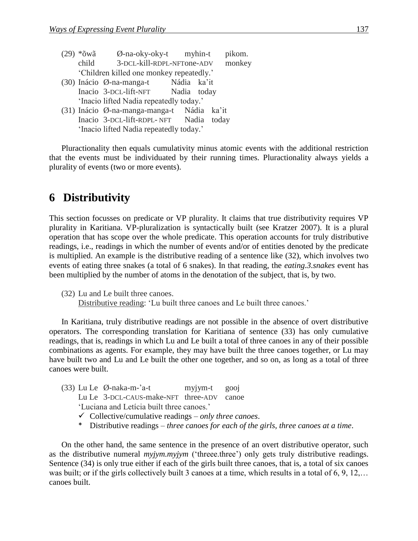| *õwã  | $\varnothing$ -na-oky-oky-t myhin-t        |             | pikom.      |
|-------|--------------------------------------------|-------------|-------------|
| child | 3-DCL-kill-RDPL-NFTone-ADV                 |             | monkey      |
|       | 'Children killed one monkey repeatedly.'   |             |             |
|       | $(30)$ Inácio $\emptyset$ -na-manga-t      | Nádia ka'it |             |
|       | Inacio 3-DCL-lift-NFT Nadia today          |             |             |
|       | 'Inacio lifted Nadia repeatedly today.'    |             |             |
|       | (31) Inácio Ø-na-manga-manga-t Nádia ka'it |             |             |
|       | Inacio 3-DCL-lift-RDPL-NFT                 |             | Nadia today |
|       | 'Inacio lifted Nadia repeatedly today.'    |             |             |

Pluractionality then equals cumulativity minus atomic events with the additional restriction that the events must be individuated by their running times. Pluractionality always yields a plurality of events (two or more events).

# **6** Distributivity

This section focusses on predicate or VP plurality. It claims that true distributivity requires VP plurality in Karitiana. VP-pluralization is syntactically built (see Kratzer 2007). It is a plural operation that has scope over the whole predicate. This operation accounts for truly distributive readings, i.e., readings in which the number of events and/or of entities denoted by the predicate is multiplied. An example is the distributive reading of a sentence like (32), which involves two events of eating three snakes (a total of 6 snakes). In that reading, the *eating.3.snakes* event has been multiplied by the number of atoms in the denotation of the subject, that is, by two.

In Karitiana, truly distributive readings are not possible in the absence of overt distributive operators. The corresponding translation for Karitiana of sentence (33) has only cumulative readings, that is, readings in which Lu and Le built a total of three canoes in any of their possible combinations as agents. For example, they may have built the three canoes together, or Lu may have built two and Lu and Le built the other one together, and so on, as long as a total of three canoes were built.

|  | $(33)$ Lu Le $\emptyset$ -naka-m-'a-t |                                                                                                                                                                                                                                                                                                | myjym-t gooj |  |
|--|---------------------------------------|------------------------------------------------------------------------------------------------------------------------------------------------------------------------------------------------------------------------------------------------------------------------------------------------|--------------|--|
|  |                                       | Lu Le 3-DCL-CAUS-make-NFT three-ADV canoe                                                                                                                                                                                                                                                      |              |  |
|  |                                       | 'Luciana and Leticia built three canoes.'                                                                                                                                                                                                                                                      |              |  |
|  |                                       | $\sqrt{a}$ 11 $\sqrt{a}$ 1 $\sqrt{a}$ 1 $\sqrt{a}$ 1 $\sqrt{a}$ 1 $\sqrt{a}$ 1 $\sqrt{a}$ 1 $\sqrt{a}$ 1 $\sqrt{a}$ 1 $\sqrt{a}$ 1 $\sqrt{a}$ 1 $\sqrt{a}$ 1 $\sqrt{a}$ 1 $\sqrt{a}$ 1 $\sqrt{a}$ 1 $\sqrt{a}$ 1 $\sqrt{a}$ 1 $\sqrt{a}$ 1 $\sqrt{a}$ 1 $\sqrt{a}$ 1 $\sqrt{a}$ 1 $\sqrt{a}$ 1 |              |  |

- Collective/cumulative readings *only three canoes*.
- \* Distributive readings *three canoes for each of the girls, three canoes at a time*.

On the other hand, the same sentence in the presence of an overt distributive operator, such as the distributive numeral *myjym.myjym* ('threee.three') only gets truly distributive readings. Sentence (34) is only true either if each of the girls built three canoes, that is, a total of six canoes was built; or if the girls collectively built 3 canoes at a time, which results in a total of 6, 9, 12,... canoes built.

<sup>(32)</sup> Lu and Le built three canoes. Distributive reading: 'Lu built three canoes and Le built three canoes.'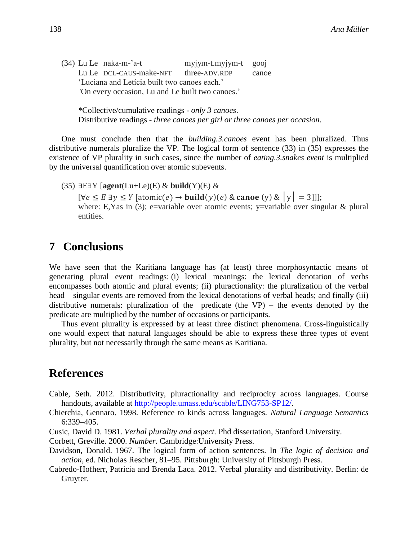(34) Lu Le naka-m-'a-t myjym-t.myjym-t gooj Lu Le DCL-CAUS-make-NFT three-ADV.RDP canoe 'Luciana and Letícia built two canoes each.' *'*On every occasion, Lu and Le built two canoes.'

*\**Collective/cumulative readings - *only 3 canoes*. Distributive readings - *three canoes per girl or three canoes per occasion*.

One must conclude then that the *building.3.canoes* event has been pluralized. Thus distributive numerals pluralize the VP. The logical form of sentence (33) in (35) expresses the existence of VP plurality in such cases, since the number of *eating.3.snakes event* is multiplied by the universal quantification over atomic subevents.

 $(35)$   $\exists E \exists Y$  [agent(Lu+Le)(E) & **build**(Y)(E) &  $[\forall e \le E \exists y \le Y \, [\text{atomic}(e) \rightarrow \text{build}(y)(e) \& \text{canoe (y)} \& |y| = 3]]];$ where: E, Yas in (3); e=variable over atomic events; y=variable over singular  $\&$  plural entities.

#### **7** Conclusions

We have seen that the Karitiana language has (at least) three morphosyntactic means of generating plural event readings: (i) lexical meanings: the lexical denotation of verbs encompasses both atomic and plural events; (ii) pluractionality: the pluralization of the verbal head – singular events are removed from the lexical denotations of verbal heads; and finally (iii) distributive numerals: pluralization of the predicate (the VP) – the events denoted by the predicate are multiplied by the number of occasions or participants.

Thus event plurality is expressed by at least three distinct phenomena. Cross-linguistically one would expect that natural languages should be able to express these three types of event plurality, but not necessarily through the same means as Karitiana.

#### **References**

Cable, Seth. 2012. Distributivity, pluractionality and reciprocity across languages. Course handouts, available at [http://people.umass.edu/scable/LING753-SP12/.](http://people.umass.edu/scable/LING753-SP12/)

Chierchia, Gennaro. 1998. Reference to kinds across languages. *Natural Language Semantics* 6:339–405.

- Cusic, David D. 1981. *Verbal plurality and aspect.* Phd dissertation, Stanford University.
- Corbett, Greville. 2000. *Number.* Cambridge:University Press.
- Davidson, Donald. 1967. The logical form of action sentences. In *The logic of decision and action*, ed. Nicholas Rescher, 81–95. Pittsburgh: University of Pittsburgh Press.
- Cabredo-Hofherr, Patricia and Brenda Laca. 2012. Verbal plurality and distributivity. Berlin: de Gruyter.